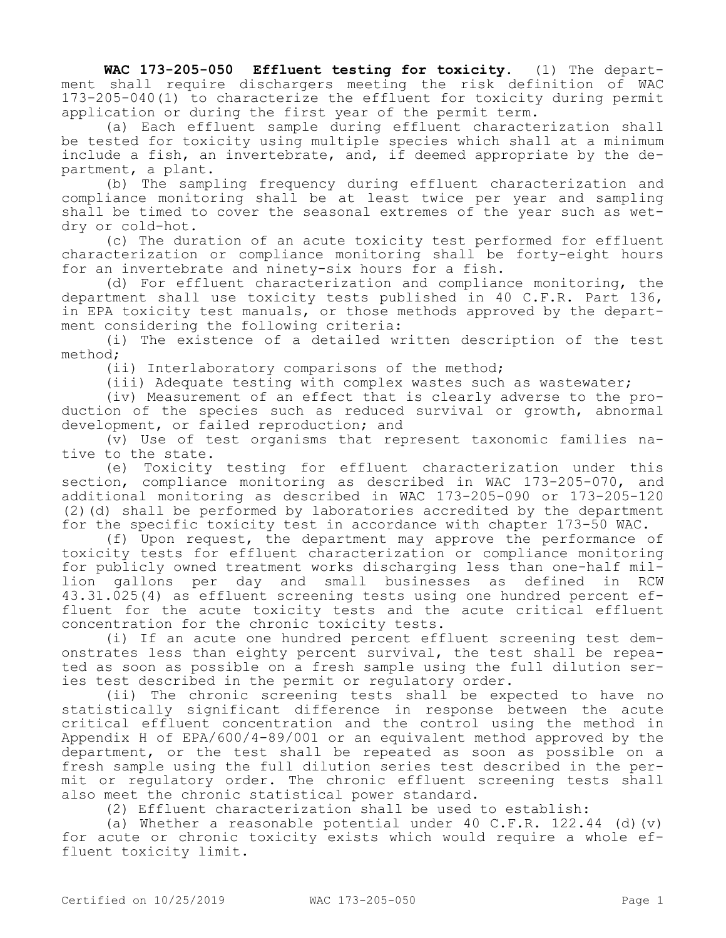**WAC 173-205-050 Effluent testing for toxicity.** (1) The department shall require dischargers meeting the risk definition of WAC 173-205-040(1) to characterize the effluent for toxicity during permit application or during the first year of the permit term.

(a) Each effluent sample during effluent characterization shall be tested for toxicity using multiple species which shall at a minimum include a fish, an invertebrate, and, if deemed appropriate by the department, a plant.

(b) The sampling frequency during effluent characterization and compliance monitoring shall be at least twice per year and sampling shall be timed to cover the seasonal extremes of the year such as wetdry or cold-hot.

(c) The duration of an acute toxicity test performed for effluent characterization or compliance monitoring shall be forty-eight hours for an invertebrate and ninety-six hours for a fish.

(d) For effluent characterization and compliance monitoring, the department shall use toxicity tests published in 40 C.F.R. Part 136, in EPA toxicity test manuals, or those methods approved by the department considering the following criteria:

(i) The existence of a detailed written description of the test method;

(ii) Interlaboratory comparisons of the method;

(iii) Adequate testing with complex wastes such as wastewater;

(iv) Measurement of an effect that is clearly adverse to the production of the species such as reduced survival or growth, abnormal development, or failed reproduction; and

(v) Use of test organisms that represent taxonomic families native to the state.

(e) Toxicity testing for effluent characterization under this section, compliance monitoring as described in WAC 173-205-070, and additional monitoring as described in WAC 173-205-090 or 173-205-120 (2)(d) shall be performed by laboratories accredited by the department for the specific toxicity test in accordance with chapter 173-50 WAC.

(f) Upon request, the department may approve the performance of toxicity tests for effluent characterization or compliance monitoring for publicly owned treatment works discharging less than one-half million gallons per day and small businesses as defined in RCW 43.31.025(4) as effluent screening tests using one hundred percent effluent for the acute toxicity tests and the acute critical effluent concentration for the chronic toxicity tests.

(i) If an acute one hundred percent effluent screening test demonstrates less than eighty percent survival, the test shall be repeated as soon as possible on a fresh sample using the full dilution series test described in the permit or regulatory order.

(ii) The chronic screening tests shall be expected to have no statistically significant difference in response between the acute critical effluent concentration and the control using the method in Appendix H of EPA/600/4-89/001 or an equivalent method approved by the department, or the test shall be repeated as soon as possible on a fresh sample using the full dilution series test described in the permit or regulatory order. The chronic effluent screening tests shall also meet the chronic statistical power standard.

(2) Effluent characterization shall be used to establish:

(a) Whether a reasonable potential under  $40 \, \text{C.F.R.}$  122.44 (d)(v) for acute or chronic toxicity exists which would require a whole effluent toxicity limit.